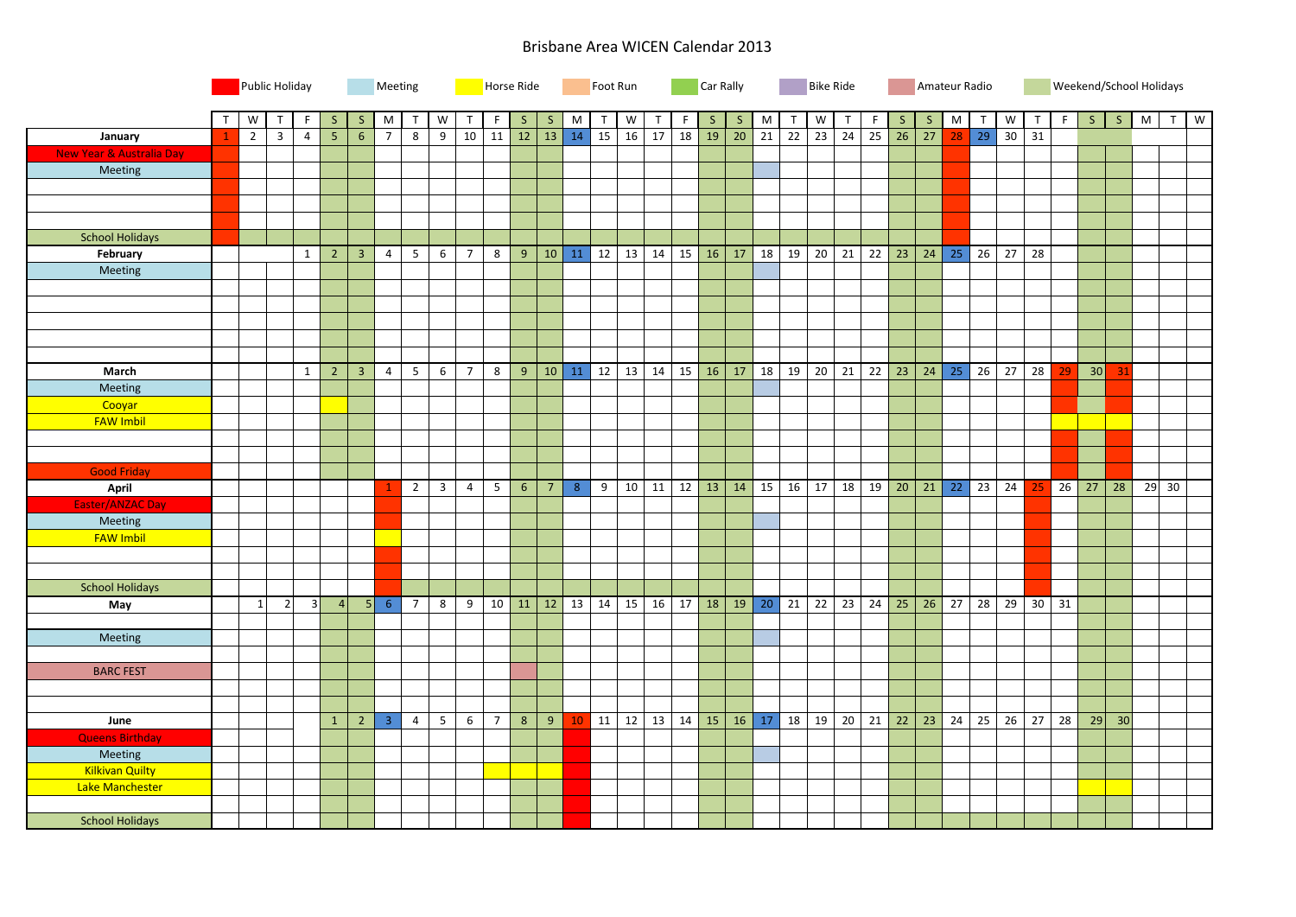## Brisbane Area WICEN Calendar 2013

|                                     |                | Public Holiday                   |                | Meeting         |                |                |                | Horse Ride              |                 |                 |                 | Foot Run        |              |              |                 | Car Rally            |              |              |                 | <b>Bike Ride</b> |                 |    |                   | Amateur Radio |                   |                 |           |              |    |              |    | Weekend/School Holidays |     |   |         |   |
|-------------------------------------|----------------|----------------------------------|----------------|-----------------|----------------|----------------|----------------|-------------------------|-----------------|-----------------|-----------------|-----------------|--------------|--------------|-----------------|----------------------|--------------|--------------|-----------------|------------------|-----------------|----|-------------------|---------------|-------------------|-----------------|-----------|--------------|----|--------------|----|-------------------------|-----|---|---------|---|
|                                     | $\mathsf{T}$   | ${\sf W}$<br>T                   | F              | $\mathsf{S}$    | $\mathsf S$    | M              | $\mathsf{T}$   | W                       |                 |                 | <sub>S</sub>    | S               | M            | $\mathsf{T}$ | W               |                      | F            | $\mathsf{S}$ | S               | M                |                 | W  | $\mathsf{T}$      | F             | S                 | <sub>S</sub>    | ${\sf M}$ | $\mathsf{T}$ | W  | $\mathsf{T}$ | F  | S                       | S   | M | T       | W |
| <b>January</b>                      | $\overline{1}$ | $\overline{2}$<br>$\overline{3}$ | $\overline{4}$ | $5\overline{5}$ | 6 <sup>1</sup> | $\overline{7}$ | 8              | 9                       | 10              | 11              | 12              | 13              | 14           | 15           | 16              | 17                   | 18           | 19           | 20 <sup>7</sup> | 21               | $\overline{22}$ | 23 | $\overline{24}$   | 25            | 26                | 27              | 28        | 29           |    | $30 \mid 31$ |    |                         |     |   |         |   |
| <b>New Year &amp; Australia Day</b> |                |                                  |                |                 |                |                |                |                         |                 |                 |                 |                 |              |              |                 |                      |              |              |                 |                  |                 |    |                   |               |                   |                 |           |              |    |              |    |                         |     |   |         |   |
| Meeting                             |                |                                  |                |                 |                |                |                |                         |                 |                 |                 |                 |              |              |                 |                      |              |              |                 |                  |                 |    |                   |               |                   |                 |           |              |    |              |    |                         |     |   |         |   |
|                                     |                |                                  |                |                 |                |                |                |                         |                 |                 |                 |                 |              |              |                 |                      |              |              |                 |                  |                 |    |                   |               |                   |                 |           |              |    |              |    |                         |     |   |         |   |
|                                     |                |                                  |                |                 |                |                |                |                         |                 |                 |                 |                 |              |              |                 |                      |              |              |                 |                  |                 |    |                   |               |                   |                 |           |              |    |              |    |                         |     |   |         |   |
|                                     |                |                                  |                |                 |                |                |                |                         |                 |                 |                 |                 |              |              |                 |                      |              |              |                 |                  |                 |    |                   |               |                   |                 |           |              |    |              |    |                         |     |   |         |   |
| <b>School Holidays</b>              |                |                                  |                |                 |                |                |                |                         |                 |                 |                 |                 |              |              |                 |                      |              |              |                 |                  |                 |    |                   |               |                   |                 |           |              |    |              |    |                         |     |   |         |   |
| February                            |                |                                  | 1              | $\overline{2}$  | 3 <sup>7</sup> | $\overline{4}$ | 5 <sub>1</sub> | $6\overline{6}$         | $\overline{7}$  | 8               | 9               |                 | $10$ 11 12   |              | 13              | 14                   | 15           | 16           | 17              |                  | 18 19           |    | $20 \mid 21$      | 22            | 23                | 24              | 25        | 26           | 27 | 28           |    |                         |     |   |         |   |
| Meeting                             |                |                                  |                |                 |                |                |                |                         |                 |                 |                 |                 |              |              |                 |                      |              |              |                 |                  |                 |    |                   |               |                   |                 |           |              |    |              |    |                         |     |   |         |   |
|                                     |                |                                  |                |                 |                |                |                |                         |                 |                 |                 |                 |              |              |                 |                      |              |              |                 |                  |                 |    |                   |               |                   |                 |           |              |    |              |    |                         |     |   |         |   |
|                                     |                |                                  |                |                 |                |                |                |                         |                 |                 |                 |                 |              |              |                 |                      |              |              |                 |                  |                 |    |                   |               |                   |                 |           |              |    |              |    |                         |     |   |         |   |
|                                     |                |                                  |                |                 |                |                |                |                         |                 |                 |                 |                 |              |              |                 |                      |              |              |                 |                  |                 |    |                   |               |                   |                 |           |              |    |              |    |                         |     |   |         |   |
|                                     |                |                                  |                |                 |                |                |                |                         |                 |                 |                 |                 |              |              |                 |                      |              |              |                 |                  |                 |    |                   |               |                   |                 |           |              |    |              |    |                         |     |   |         |   |
|                                     |                |                                  |                |                 |                |                |                |                         |                 |                 |                 |                 |              |              |                 |                      |              |              |                 |                  |                 |    |                   |               |                   |                 |           |              |    |              |    |                         |     |   |         |   |
| March                               |                |                                  | 1              | $\overline{2}$  | $\overline{3}$ | $\overline{4}$ | 5 <sup>5</sup> | 6                       | $7\overline{ }$ | 8               | 9               |                 | $10$ 11      | 12           | 13              | 14                   | $15 \mid 16$ |              | 17              |                  | 18 19           |    | $20$ 21           |               | $22 \mid 23 \mid$ | 24              | 25        | 26           | 27 | 28           |    | 30                      | -31 |   |         |   |
| Meeting                             |                |                                  |                |                 |                |                |                |                         |                 |                 |                 |                 |              |              |                 |                      |              |              |                 |                  |                 |    |                   |               |                   |                 |           |              |    |              |    |                         |     |   |         |   |
| Cooyar                              |                |                                  |                |                 |                |                |                |                         |                 |                 |                 |                 |              |              |                 |                      |              |              |                 |                  |                 |    |                   |               |                   |                 |           |              |    |              |    |                         |     |   |         |   |
| <b>FAW Imbil</b>                    |                |                                  |                |                 |                |                |                |                         |                 |                 |                 |                 |              |              |                 |                      |              |              |                 |                  |                 |    |                   |               |                   |                 |           |              |    |              |    |                         |     |   |         |   |
|                                     |                |                                  |                |                 |                |                |                |                         |                 |                 |                 |                 |              |              |                 |                      |              |              |                 |                  |                 |    |                   |               |                   |                 |           |              |    |              |    |                         |     |   |         |   |
|                                     |                |                                  |                |                 |                |                |                |                         |                 |                 |                 |                 |              |              |                 |                      |              |              |                 |                  |                 |    |                   |               |                   |                 |           |              |    |              |    |                         |     |   |         |   |
| <b>Good Friday</b>                  |                |                                  |                |                 |                |                |                |                         |                 |                 |                 |                 |              |              |                 |                      |              |              |                 |                  |                 |    |                   |               |                   |                 |           |              |    |              |    |                         |     |   |         |   |
| April                               |                |                                  |                |                 |                |                | $\overline{2}$ | $\overline{\mathbf{3}}$ | $\overline{4}$  | 5 <sup>5</sup>  | $6\overline{6}$ | $7\overline{ }$ | 8            | 9            | 10 <sup>1</sup> | $11 \mid 12 \mid 13$ |              |              | 14              |                  | 15 16           |    | 17 18             | 19            | 20                | 21              |           | $22$ 23      | 24 | 25           | 26 | 27                      | 28  |   | $29$ 30 |   |
| <b>Easter/ANZAC Day</b>             |                |                                  |                |                 |                |                |                |                         |                 |                 |                 |                 |              |              |                 |                      |              |              |                 |                  |                 |    |                   |               |                   |                 |           |              |    |              |    |                         |     |   |         |   |
| Meeting                             |                |                                  |                |                 |                |                |                |                         |                 |                 |                 |                 |              |              |                 |                      |              |              |                 |                  |                 |    |                   |               |                   |                 |           |              |    |              |    |                         |     |   |         |   |
| <b>FAW Imbil</b>                    |                |                                  |                |                 |                |                |                |                         |                 |                 |                 |                 |              |              |                 |                      |              |              |                 |                  |                 |    |                   |               |                   |                 |           |              |    |              |    |                         |     |   |         |   |
|                                     |                |                                  |                |                 |                |                |                |                         |                 |                 |                 |                 |              |              |                 |                      |              |              |                 |                  |                 |    |                   |               |                   |                 |           |              |    |              |    |                         |     |   |         |   |
|                                     |                |                                  |                |                 |                |                |                |                         |                 |                 |                 |                 |              |              |                 |                      |              |              |                 |                  |                 |    |                   |               |                   |                 |           |              |    |              |    |                         |     |   |         |   |
| <b>School Holidays</b>              |                |                                  |                |                 |                |                |                |                         |                 |                 |                 |                 |              |              |                 |                      |              |              |                 |                  |                 |    |                   |               |                   |                 |           |              |    |              |    |                         |     |   |         |   |
| May                                 |                | $\overline{2}$<br>$\mathbf{1}$   | 3              | $\vert$         | 5              | $-6$           | $\overline{7}$ | 8                       | 9               | $10 \mid 11$    |                 |                 | $12 \mid 13$ | 14           | 15              | 16                   | 17           | 18           | 19              |                  | $20$ 21         |    | $22 \mid 23 \mid$ | 24            | 25                | 26              | 27        | 28           | 29 | 30           | 31 |                         |     |   |         |   |
|                                     |                |                                  |                |                 |                |                |                |                         |                 |                 |                 |                 |              |              |                 |                      |              |              |                 |                  |                 |    |                   |               |                   |                 |           |              |    |              |    |                         |     |   |         |   |
| Meeting                             |                |                                  |                |                 |                |                |                |                         |                 |                 |                 |                 |              |              |                 |                      |              |              |                 |                  |                 |    |                   |               |                   |                 |           |              |    |              |    |                         |     |   |         |   |
|                                     |                |                                  |                |                 |                |                |                |                         |                 |                 |                 |                 |              |              |                 |                      |              |              |                 |                  |                 |    |                   |               |                   |                 |           |              |    |              |    |                         |     |   |         |   |
| <b>BARC FEST</b>                    |                |                                  |                |                 |                |                |                |                         |                 |                 |                 |                 |              |              |                 |                      |              |              |                 |                  |                 |    |                   |               |                   |                 |           |              |    |              |    |                         |     |   |         |   |
|                                     |                |                                  |                |                 |                |                |                |                         |                 |                 |                 |                 |              |              |                 |                      |              |              |                 |                  |                 |    |                   |               |                   |                 |           |              |    |              |    |                         |     |   |         |   |
|                                     |                |                                  |                |                 |                |                |                |                         |                 |                 |                 |                 |              |              |                 |                      |              |              |                 |                  |                 |    |                   |               |                   |                 |           |              |    |              |    |                         |     |   |         |   |
| June                                |                |                                  |                | $\mathbf{1}$    | $\overline{2}$ | $\overline{3}$ | $\overline{a}$ | $\overline{5}$          | 6               | $7\overline{ }$ | $\bf 8$         | 9               | 10           | 11           | 12              | 13 14 15             |              |              |                 | $16$ 17 18       |                 |    | $19$ 20           |               | $21 \mid 22 \mid$ | $\overline{23}$ | 24        | 25           | 26 | 27           | 28 | 29                      | 30  |   |         |   |
| <b>Queens Birthday</b>              |                |                                  |                |                 |                |                |                |                         |                 |                 |                 |                 |              |              |                 |                      |              |              |                 |                  |                 |    |                   |               |                   |                 |           |              |    |              |    |                         |     |   |         |   |
| Meeting                             |                |                                  |                |                 |                |                |                |                         |                 |                 |                 |                 |              |              |                 |                      |              |              |                 |                  |                 |    |                   |               |                   |                 |           |              |    |              |    |                         |     |   |         |   |
| <b>Kilkivan Quilty</b>              |                |                                  |                |                 |                |                |                |                         |                 |                 |                 |                 |              |              |                 |                      |              |              |                 |                  |                 |    |                   |               |                   |                 |           |              |    |              |    |                         |     |   |         |   |
| Lake Manchester                     |                |                                  |                |                 |                |                |                |                         |                 |                 |                 |                 |              |              |                 |                      |              |              |                 |                  |                 |    |                   |               |                   |                 |           |              |    |              |    |                         |     |   |         |   |
|                                     |                |                                  |                |                 |                |                |                |                         |                 |                 |                 |                 |              |              |                 |                      |              |              |                 |                  |                 |    |                   |               |                   |                 |           |              |    |              |    |                         |     |   |         |   |
|                                     |                |                                  |                |                 |                |                |                |                         |                 |                 |                 |                 |              |              |                 |                      |              |              |                 |                  |                 |    |                   |               |                   |                 |           |              |    |              |    |                         |     |   |         |   |
| <b>School Holidays</b>              |                |                                  |                |                 |                |                |                |                         |                 |                 |                 |                 |              |              |                 |                      |              |              |                 |                  |                 |    |                   |               |                   |                 |           |              |    |              |    |                         |     |   |         |   |